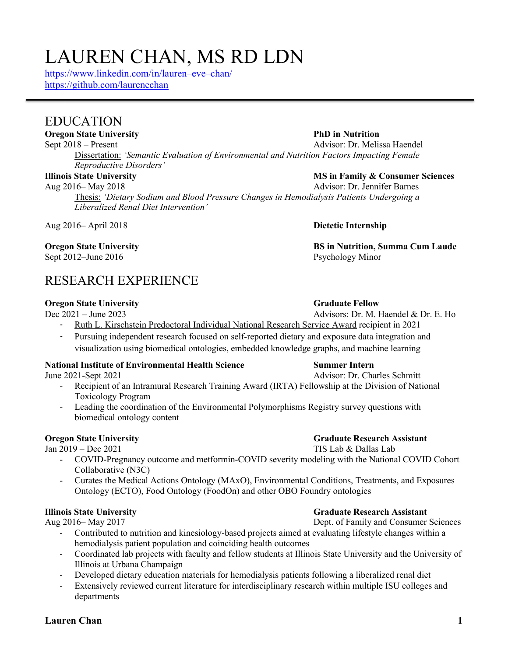## **Lauren Chan 1**

# LAUREN CHAN, MS RD LDN

https://www.linkedin.com/in/lauren–eve–chan/ https://github.com/laurenechan

## EDUCATION

**Oregon State University PhD in Nutrition**

Sept 2018 – Present Advisor: Dr. Melissa Haendel Dissertation: *'Semantic Evaluation of Environmental and Nutrition Factors Impacting Female Reproductive Disorders'*

Aug 2016– May 2018 Advisor: Dr. Jennifer Barnes Thesis: *'Dietary Sodium and Blood Pressure Changes in Hemodialysis Patients Undergoing a Liberalized Renal Diet Intervention'*

Aug 2016– April 2018 **Dietetic Internship**

# Sept 2012–June 2016 Psychology Minor

## RESEARCH EXPERIENCE

**Oregon State University**<br>
Dec 2021 – June 2023<br>
Advisors: Dr. M. H

- Ruth L. Kirschstein Predoctoral Individual National Research Service Award recipient in 2021
- Pursuing independent research focused on self-reported dietary and exposure data integration and visualization using biomedical ontologies, embedded knowledge graphs, and machine learning

## **National Institute of Environmental Health Science Summer Intern**

- Recipient of an Intramural Research Training Award (IRTA) Fellowship at the Division of National Toxicology Program
- Leading the coordination of the Environmental Polymorphisms Registry survey questions with biomedical ontology content

## **Oregon State University <b>Graduate Research Assistant Graduate Research Assistant**

Jan 2019 – Dec 2021 TIS Lab & Dallas Lab

- COVID-Pregnancy outcome and metformin-COVID severity modeling with the National COVID Cohort Collaborative (N3C)
- Curates the Medical Actions Ontology (MAxO), Environmental Conditions, Treatments, and Exposures Ontology (ECTO), Food Ontology (FoodOn) and other OBO Foundry ontologies

Aug 2016– May 2017 Dept. of Family and Consumer Sciences

- Contributed to nutrition and kinesiology-based projects aimed at evaluating lifestyle changes within a hemodialysis patient population and coinciding health outcomes
- Coordinated lab projects with faculty and fellow students at Illinois State University and the University of Illinois at Urbana Champaign
- Developed dietary education materials for hemodialysis patients following a liberalized renal diet
- Extensively reviewed current literature for interdisciplinary research within multiple ISU colleges and departments

# **Illinois State University MS in Family & Consumer Sciences**

**Oregon State University BS in Nutrition, Summa Cum Laude**

Advisors: Dr. M. Haendel & Dr. E. Ho

June 2021-Sept 2021 Advisor: Dr. Charles Schmitt

**Illinois State University Graduate Research Assistant**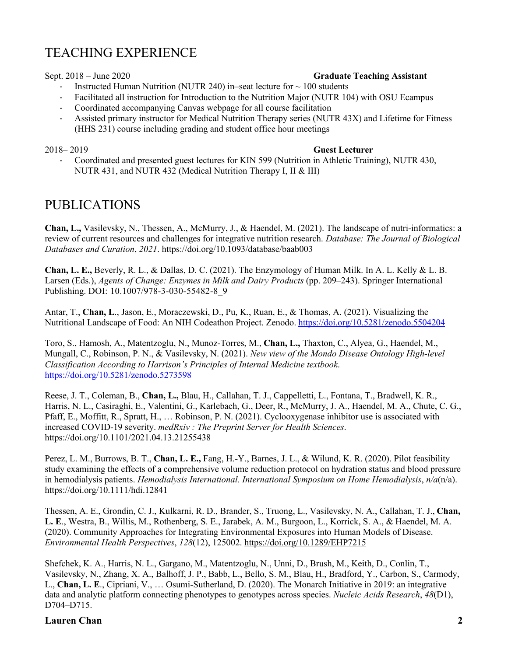## TEACHING EXPERIENCE

### Sept. 2018 – June 2020 **Graduate Teaching Assistant**

- Instructed Human Nutrition (NUTR 240) in–seat lecture for  $\sim 100$  students
- Facilitated all instruction for Introduction to the Nutrition Major (NUTR 104) with OSU Ecampus
- Coordinated accompanying Canvas webpage for all course facilitation
- Assisted primary instructor for Medical Nutrition Therapy series (NUTR 43X) and Lifetime for Fitness (HHS 231) course including grading and student office hour meetings

### 2018– 2019 **Guest Lecturer**

- Coordinated and presented guest lectures for KIN 599 (Nutrition in Athletic Training), NUTR 430, NUTR 431, and NUTR 432 (Medical Nutrition Therapy I, II & III)

## PUBLICATIONS

**Chan, L.,** Vasilevsky, N., Thessen, A., McMurry, J., & Haendel, M. (2021). The landscape of nutri-informatics: a review of current resources and challenges for integrative nutrition research. *Database: The Journal of Biological Databases and Curation*, *2021*. https://doi.org/10.1093/database/baab003

**Chan, L. E.,** Beverly, R. L., & Dallas, D. C. (2021). The Enzymology of Human Milk. In A. L. Kelly & L. B. Larsen (Eds.), *Agents of Change: Enzymes in Milk and Dairy Products* (pp. 209–243). Springer International Publishing. DOI: 10.1007/978-3-030-55482-8\_9

Antar, T., **Chan, L**., Jason, E., Moraczewski, D., Pu, K., Ruan, E., & Thomas, A. (2021). Visualizing the Nutritional Landscape of Food: An NIH Codeathon Project. Zenodo. https://doi.org/10.5281/zenodo.5504204

Toro, S., Hamosh, A., Matentzoglu, N., Munoz-Torres, M., **Chan, L.,** Thaxton, C., Alyea, G., Haendel, M., Mungall, C., Robinson, P. N., & Vasilevsky, N. (2021). *New view of the Mondo Disease Ontology High-level Classification According to Harrison's Principles of Internal Medicine textbook*. https://doi.org/10.5281/zenodo.5273598

Reese, J. T., Coleman, B., **Chan, L.,** Blau, H., Callahan, T. J., Cappelletti, L., Fontana, T., Bradwell, K. R., Harris, N. L., Casiraghi, E., Valentini, G., Karlebach, G., Deer, R., McMurry, J. A., Haendel, M. A., Chute, C. G., Pfaff, E., Moffitt, R., Spratt, H., … Robinson, P. N. (2021). Cyclooxygenase inhibitor use is associated with increased COVID-19 severity. *medRxiv : The Preprint Server for Health Sciences*. https://doi.org/10.1101/2021.04.13.21255438

Perez, L. M., Burrows, B. T., **Chan, L. E.,** Fang, H.-Y., Barnes, J. L., & Wilund, K. R. (2020). Pilot feasibility study examining the effects of a comprehensive volume reduction protocol on hydration status and blood pressure in hemodialysis patients. *Hemodialysis International. International Symposium on Home Hemodialysis*, *n/a*(n/a). https://doi.org/10.1111/hdi.12841

Thessen, A. E., Grondin, C. J., Kulkarni, R. D., Brander, S., Truong, L., Vasilevsky, N. A., Callahan, T. J., **Chan, L. E**., Westra, B., Willis, M., Rothenberg, S. E., Jarabek, A. M., Burgoon, L., Korrick, S. A., & Haendel, M. A. (2020). Community Approaches for Integrating Environmental Exposures into Human Models of Disease. *Environmental Health Perspectives*, *128*(12), 125002. https://doi.org/10.1289/EHP7215

Shefchek, K. A., Harris, N. L., Gargano, M., Matentzoglu, N., Unni, D., Brush, M., Keith, D., Conlin, T., Vasilevsky, N., Zhang, X. A., Balhoff, J. P., Babb, L., Bello, S. M., Blau, H., Bradford, Y., Carbon, S., Carmody, L., **Chan, L. E**., Cipriani, V., … Osumi-Sutherland, D. (2020). The Monarch Initiative in 2019: an integrative data and analytic platform connecting phenotypes to genotypes across species. *Nucleic Acids Research*, *48*(D1), D704–D715.

### **Lauren Chan 2**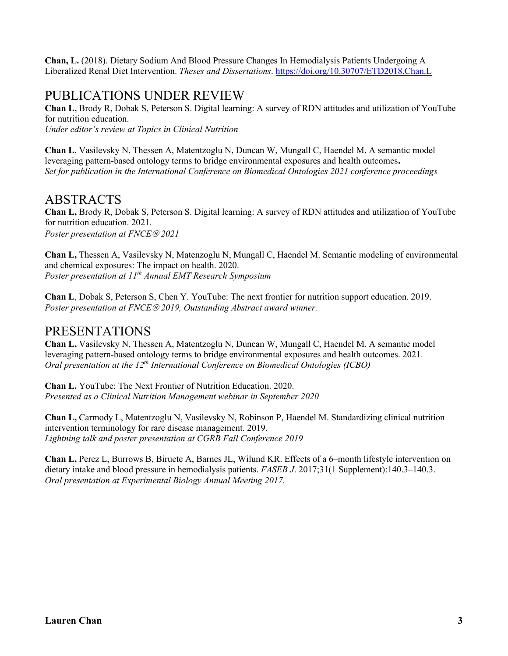**Chan, L.** (2018). Dietary Sodium And Blood Pressure Changes In Hemodialysis Patients Undergoing A Liberalized Renal Diet Intervention. *Theses and Dissertations*. https://doi.org/10.30707/ETD2018.Chan.L

## PUBLICATIONS UNDER REVIEW

**Chan L,** Brody R, Dobak S, Peterson S. Digital learning: A survey of RDN attitudes and utilization of YouTube for nutrition education.

*Under editor's review at Topics in Clinical Nutrition*

**Chan L**, Vasilevsky N, Thessen A, Matentzoglu N, Duncan W, Mungall C, Haendel M. A semantic model leveraging pattern-based ontology terms to bridge environmental exposures and health outcomes**.** *Set for publication in the International Conference on Biomedical Ontologies 2021 conference proceedings*

## ABSTRACTS

**Chan L,** Brody R, Dobak S, Peterson S. Digital learning: A survey of RDN attitudes and utilization of YouTube for nutrition education. 2021. *Poster presentation at FNCE*<sup>â</sup> *2021*

**Chan L,** Thessen A, Vasilevsky N, Matenzoglu N, Mungall C, Haendel M. Semantic modeling of environmental and chemical exposures: The impact on health. 2020. *Poster presentation at 11th Annual EMT Research Symposium*

**Chan L**, Dobak S, Peterson S, Chen Y. YouTube: The next frontier for nutrition support education. 2019. *Poster presentation at FNCE*<sup>â</sup> *2019, Outstanding Abstract award winner.*

## PRESENTATIONS

**Chan L,** Vasilevsky N, Thessen A, Matentzoglu N, Duncan W, Mungall C, Haendel M. A semantic model leveraging pattern-based ontology terms to bridge environmental exposures and health outcomes. 2021. *Oral presentation at the 12th International Conference on Biomedical Ontologies (ICBO)*

**Chan L.** YouTube: The Next Frontier of Nutrition Education. 2020. *Presented as a Clinical Nutrition Management webinar in September 2020*

**Chan L,** Carmody L, Matentzoglu N, Vasilevsky N, Robinson P, Haendel M. Standardizing clinical nutrition intervention terminology for rare disease management. 2019. *Lightning talk and poster presentation at CGRB Fall Conference 2019*

**Chan L,** Perez L, Burrows B, Biruete A, Barnes JL, Wilund KR. Effects of a 6–month lifestyle intervention on dietary intake and blood pressure in hemodialysis patients. *FASEB J*. 2017;31(1 Supplement):140.3–140.3. *Oral presentation at Experimental Biology Annual Meeting 2017.*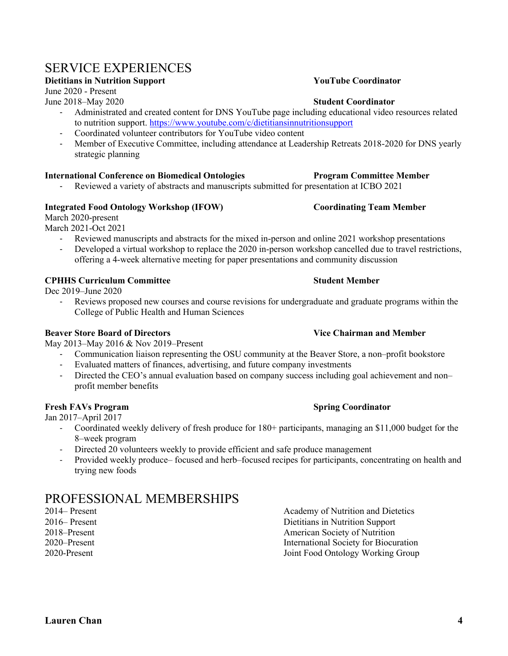## SERVICE EXPERIENCES

### **Dietitians in Nutrition Support YouTube Coordinator**

June 2020 - Present

June 2018–May 2020 **Student Coordinator**

- Administrated and created content for DNS YouTube page including educational video resources related to nutrition support. https://www.youtube.com/c/dietitiansinnutritionsupport
- Coordinated volunteer contributors for YouTube video content
- Member of Executive Committee, including attendance at Leadership Retreats 2018-2020 for DNS yearly strategic planning

### **International Conference on Biomedical Ontologies Program Committee Member**

- Reviewed a variety of abstracts and manuscripts submitted for presentation at ICBO 2021

### **Integrated Food Ontology Workshop (IFOW) Coordinating Team Member**

March 2020-present

March 2021-Oct 2021

- Reviewed manuscripts and abstracts for the mixed in-person and online 2021 workshop presentations
- Developed a virtual workshop to replace the 2020 in-person workshop cancelled due to travel restrictions, offering a 4-week alternative meeting for paper presentations and community discussion

### **CPHHS Curriculum Committee Student Member**

Dec 2019–June 2020

Reviews proposed new courses and course revisions for undergraduate and graduate programs within the College of Public Health and Human Sciences

### **Beaver Store Board of Directors Vice Chairman and Member**

May 2013–May 2016 & Nov 2019–Present

- Communication liaison representing the OSU community at the Beaver Store, a non–profit bookstore
- Evaluated matters of finances, advertising, and future company investments
- Directed the CEO's annual evaluation based on company success including goal achievement and non– profit member benefits

### **Fresh FAVs Program Spring Coordinator**

Jan 2017–April 2017

- Coordinated weekly delivery of fresh produce for 180+ participants, managing an \$11,000 budget for the 8–week program
- Directed 20 volunteers weekly to provide efficient and safe produce management
- Provided weekly produce– focused and herb–focused recipes for participants, concentrating on health and trying new foods

# PROFESSIONAL MEMBERSHIPS<br>2014– Present

Academy of Nutrition and Dietetics 2016– Present Dietitians in Nutrition Support 2018–Present American Society of Nutrition 2020–Present International Society for Biocuration 2020-Present Joint Food Ontology Working Group